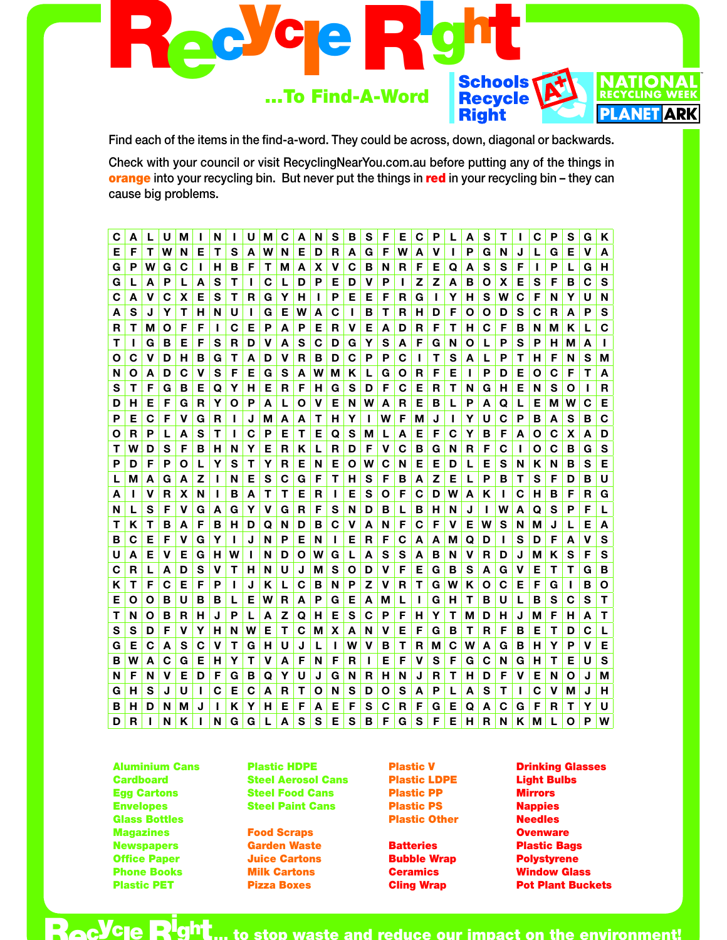

Find each of the items in the find-a-word. They could be across, down, diagonal or backwards.

Check with your council or visit RecyclingNearYou.com.au before putting any of the things in orange into your recycling bin. But never put the things in red in your recycling bin - they can cause big problems.

| С | Α | L | U | м |   | N |   | U | м | С | Α | N | S | в | S | F           | Е | С            | P | L | Α | S  | т |             | С | Ρ | s | G | Κ |
|---|---|---|---|---|---|---|---|---|---|---|---|---|---|---|---|-------------|---|--------------|---|---|---|----|---|-------------|---|---|---|---|---|
| Е | F | Т | W | N | Е | Т | s | A | W | N | Е | D | R | A | G | F           | W | А            | ν | L | Р | G  | N | J           | L | G | Е | v | A |
| G | Р | W | G | С |   | н | в | F | Т | Μ | Α | х | ۷ | С | в | N           | R | F            | Е | Q | Α | S  | s | F           | L | P | L | G | н |
| G |   | А | Р | L | А | s | Т | L | С | L | D | Р | Е | D | v | Р           | ı | Z            | Z | А | в | Ο  | X | Е           | s | F | в | С | S |
| С | Α | v | С | X | Е | s | T | R | G | Y | н | L | P | Е | Е | F           | R | G            | L | Y | н | s  | W | С           | F | N | Υ | U | N |
| A | S | J | Y | т | н | N | U | L | G | Е | w | Α | С | L | В | Т           | R | н            | D | F | Ο | O  | D | S           | С | R | A | P | S |
| R | т | м | O | F | F | L | С | Е | P | Α | P | Е | R | v | Е | A           | D | R            | F | Т | н | C  | F | В           | N | М | K | L | C |
| т |   | G | в | Е | F | S | R | D | V | А | s | C | D | G | Υ | S           | A | F            | G | N | О | L  | P | S           | Р | н | М | A | п |
| Ο | С | v | D | н | В | G | Т | А | D | ۷ | R | в | D | С | Р | Р           | С | $\mathbf{I}$ | Т | s | Α | L  | P | т           | н | F | N | S | M |
| N | O | A | D | С | v | S | F | Е | G | S | A | W | М | Κ | L | G           | O | R            | F | Е | ı | P  | D | Е           | Ο | C | F | Τ | A |
| s | Т | F | G | в | Е | Q | Y | н | Е | R | F | н | G | s | D | F           | С | Е            | R | Т | N | G  | н | Е           | N | S | Ο |   | R |
| D | н | Е | F | G | R | Υ | Ο | Р | A | L | Ο | v | Е | N | W | Α           | R | Е            | в | L | Ρ | А  | Q | L           | Е | Μ | W | С | Е |
| Р | Е | C | F | v | G | R | L | J | М | Α | A | т | н | Y | L | W           | F | Μ            | J | L | Υ | U  | С | P           | в | Α | s | в | C |
| Ο | R | P | L | A | S | т | L | C | P | Е | Т | Е | Q | S | M | L           | A | Е            | F | C | Υ | в  | F | A           | Ο | C | X | A | D |
| Т | W | D | S | F | в | н | N | Y | Е | R | ĸ | L | R | D | F | $\mathbf v$ | С | В            | G | N | R | F  | C | ı           | Ο | C | B | G | S |
| Р | D | F | P | Ο | L | Y | S | т | Y | R | Е | N | E | O | W | C           | N | Е            | Е | D | L | Е  | S | N           | Κ | N | в | S | Е |
| L | м | A | G | A | z | L | N | Е | S | C | G | F | Т | н | s | F           | в | A            | Z | Е | L | Р  | в | т           | s | F | D | в | U |
| Α | н | v | R | х | N | т | в | A | Т | т | Е | R | П | Е | S | O           | F | C            | D | W | Α | Κ  | Т | С           | н | В | F | R | G |
| N | L | S | F | v | G | Α | G | Y | v | G | R | F | S | N | D | в           | L | в            | н | N | J |    | W | A           | Q | S | P | F | L |
| Τ | Κ | Т | в | Α | F | в | н | D | Q | N | D | в | С | v | Α | N           | F | C            | F | v | E | W  | S | N           | Μ | J | L | Е | А |
| в | С | Е | F | v | G | Y | ı | J | N | P | Е | N | L | Е | R | F           | С | A            | A | М | Q | D  | L | s           | D | F | Α | ۷ | S |
| U | Α | Е | V | Е | G | н | W | п | N | D | Ο | W | G | L | Α | S           | S | A            | в | N | ۷ | R. | D | J           | М | Κ | S | F | S |
| C | R | L | A | D | S | V | Т | н | N | U | J | М | S | Ο | D | v           | F | Е            | G | в | S | А  | G | $\mathbf v$ | Е | т | T | G | в |
| Κ | т | F | C | Е | F | P | ı | J | Κ | L | С | в | N | P | Z | v           | R | Т            | G | w | Κ | Ο  | С | Е           | F | G | Н | в | О |
| Е | Ο | Ο | в | U | в | в | L | Е | w | R | Α | Р | G | Е | Α | М           | L | Н            | G | н | т | в  | U | L           | в | S | С | S | Т |
| т | N | O | в | R | н | J | P | L | A | z | Q | н | Е | S | C | P           | F | н            | Υ | т | M | D  | н | J           | М | F | н | A | Т |
| S | S | D | F | v | Y | н | N | W | Е | Т | С | М | X | A | N | v           | Е | F            | G | в | Τ | R  | F | В           | Е | Т | D | С | L |
| G | Е | С | A | s | С | v | Т | G | н | U | J | L | п | w | v | в           | Т | R            | Μ | С | W | А  | G | в           | н | Υ | P | v | Е |
| в | W | А | С | G | Е | н | Y | т | v | Α | F | N | F | R | L | Е           | F | v            | S | F | G | С  | N | G           | н | Т | Е | U | s |
| N | F | N | v | Е | D | F | G | в | Q | Υ | U | J | G | N | R | н           | N | J            | R | т | н | D  | F | V           | Е | N | Ο | J | M |
| G | н | S | J | U |   | C | Е | С | A | R | т | Ο | N | s | D | Ο           | S | А            | P | L | А | S  | Т | L           | С | v | М | J | н |
| в | н | D | N | м |   | ı | K | Υ | н | Е | F | А | Е | F | S | С           | R | F            | G | Е | Q | А  | С | G           | F | R | т | Υ | U |
| D | R | п | N | κ |   | N | G | G | L | A | S | S | Е | S | в | F           | G | S            | F | Е | н | R  | N | K           | М |   | O | Ρ | W |

**Aluminium Cans Cardboard Egg Cartons Envelopes Glass Bottles Magazines Newspapers Office Paper Phone Books Plastic PET** 

**Ac<sup>yc</sup>le** 

**Plastic HDPE Steel Aerosol Cans Steel Food Cans Steel Paint Cans** 

**Food Scraps Garden Waste Juice Cartons Milk Cartons Pizza Boxes** 

**Plastic V Plastic LDPE Plastic PP Plastic PS Plastic Other** 

**Batteries Bubble Wrap Ceramics Cling Wrap** 

**Drinking Glasses Light Bulbs Mirrors Nappies Needles Ovenware Plastic Bags Polystyrene Window Glass Pot Plant Buckets** 

 $\mathbf{c}$   $\mathbf{b}$   $\mathbf{c}$ to stop waste and reduce our impact on the environment!